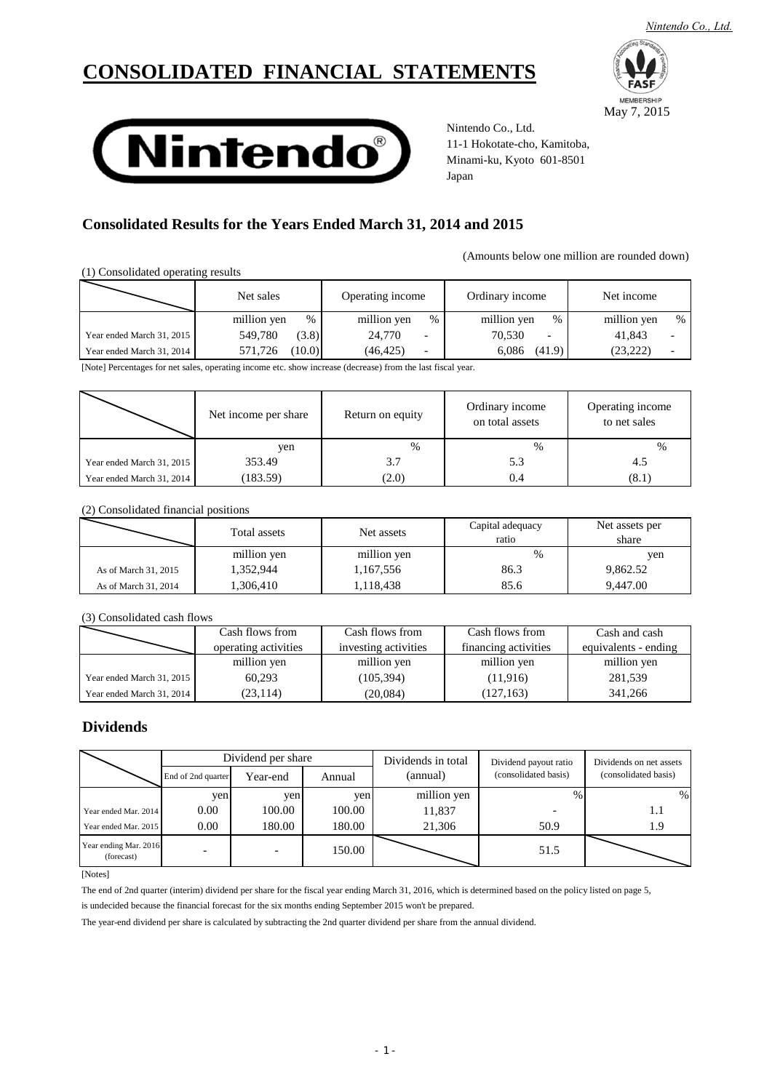# **CONSOLIDATED FINANCIAL STATEMENTS**



May 7, 2015

**MEMBERSHIP** 



Nintendo Co., Ltd. 11-1 Hokotate-cho, Kamitoba, Minami-ku, Kyoto 601-8501 Japan

## **Consolidated Results for the Years Ended March 31, 2014 and 2015**

(Amounts below one million are rounded down)

(1) Consolidated operating results

|                           | Net sales         | Operating income                      | Ordinary income     | Net income       |  |
|---------------------------|-------------------|---------------------------------------|---------------------|------------------|--|
|                           | %<br>million yen  | million yen<br>$\%$                   | million yen<br>$\%$ | million yen<br>% |  |
| Year ended March 31, 2015 | 549.780<br>(3.8)  | 24,770<br>$\overline{\phantom{a}}$    | 70.530<br>-         | 41.843           |  |
| Year ended March 31, 2014 | (10.0)<br>571.726 | (46, 425)<br>$\overline{\phantom{0}}$ | 6.086<br>(41.9)     | (23, 222)        |  |

[Note] Percentages for net sales, operating income etc. show increase (decrease) from the last fiscal year.

|                           | Net income per share | Return on equity | Ordinary income<br>on total assets | Operating income<br>to net sales |
|---------------------------|----------------------|------------------|------------------------------------|----------------------------------|
|                           | yen                  | $\%$             | %                                  | $\frac{0}{0}$                    |
| Year ended March 31, 2015 | 353.49               | 3.7              | 5.3                                | 4.5                              |
| Year ended March 31, 2014 | (183.59)             | (2.0)            | 0.4                                | (8.1)                            |

(2) Consolidated financial positions

|                      | Total assets | Net assets  | Capital adequacy<br>ratio | Net assets per<br>share |
|----------------------|--------------|-------------|---------------------------|-------------------------|
|                      | million yen  | million yen | $\frac{0}{0}$             | yen                     |
| As of March 31, 2015 | 1,352,944    | 1,167,556   | 86.3                      | 9.862.52                |
| As of March 31, 2014 | ,306,410     | 1,118,438   | 85.6                      | 9.447.00                |

(3) Consolidated cash flows

|                           | Cash flows from      | Cash flows from      | Cash flows from      | Cash and cash        |
|---------------------------|----------------------|----------------------|----------------------|----------------------|
|                           | operating activities | investing activities | financing activities | equivalents - ending |
|                           | million yen          | million yen          | million yen          | million yen          |
| Year ended March 31, 2015 | 60.293               | (105, 394)           | (11,916)             | 281.539              |
| Year ended March 31, 2014 | (23, 114)            | (20,084)             | (127, 163)           | 341.266              |

## **Dividends**

|                                     | Dividend per share       |          |        | Dividends in total | Dividend payout ratio | Dividends on net assets |
|-------------------------------------|--------------------------|----------|--------|--------------------|-----------------------|-------------------------|
|                                     | End of 2nd quarter       | Year-end | Annual | (annual)           | (consolidated basis)  | (consolidated basis)    |
|                                     | yen                      | yen      | yen    | million yen        | $\frac{0}{0}$         | %                       |
| Year ended Mar, 2014                | 0.00                     | 100.00   | 100.00 | 11,837             |                       | 1.1                     |
| Year ended Mar, 2015                | $0.00\,$                 | 180.00   | 180.00 | 21,306             | 50.9                  | 1.9                     |
| Year ending Mar. 2016<br>(forecast) | $\overline{\phantom{a}}$ |          | 150.00 |                    | 51.5                  |                         |

[Notes]

The end of 2nd quarter (interim) dividend per share for the fiscal year ending March 31, 2016, which is determined based on the policy listed on page 5,

is undecided because the financial forecast for the six months ending September 2015 won't be prepared.

The year-end dividend per share is calculated by subtracting the 2nd quarter dividend per share from the annual dividend.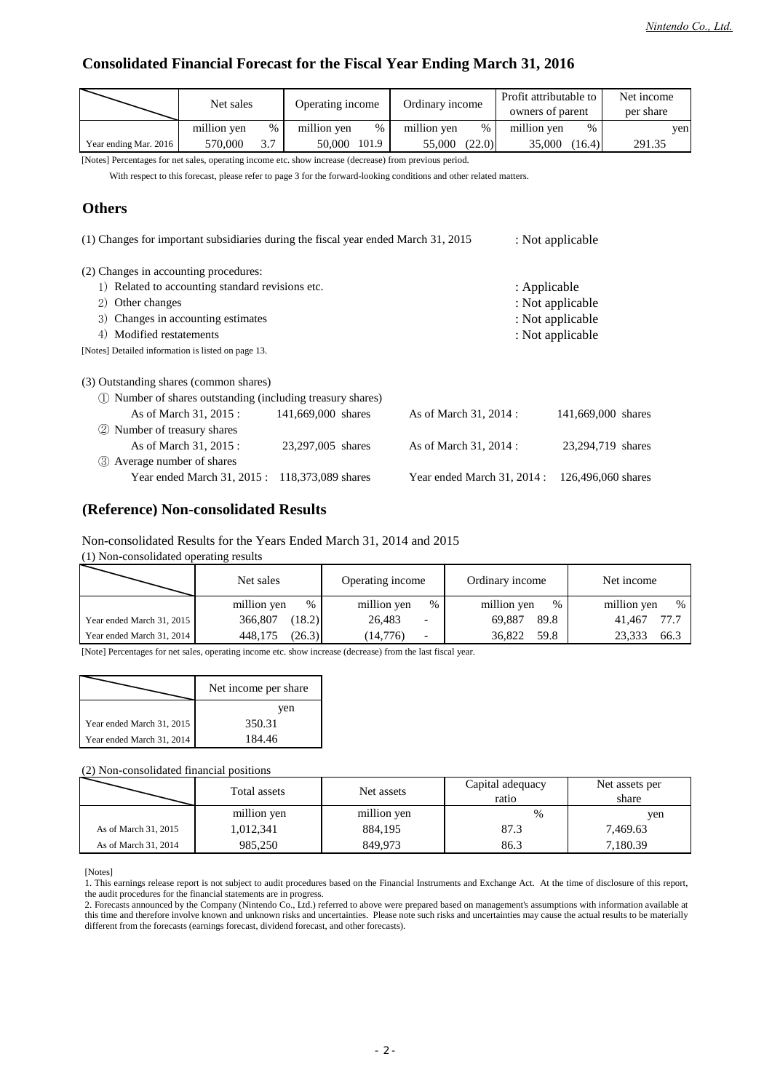## **Consolidated Financial Forecast for the Fiscal Year Ending March 31, 2016**

|                       | Net sales   |      | Operating income    | Ordinary income              | Profit attributable to<br>owners of parent | Net income<br>per share |
|-----------------------|-------------|------|---------------------|------------------------------|--------------------------------------------|-------------------------|
|                       | million ven | $\%$ | million ven<br>$\%$ | million yen<br>$\frac{0}{0}$ | million yen<br>$\%$                        | ven                     |
| Year ending Mar. 2016 | 570,000     | 27   | 50.000<br>101.9     | (22.0)<br>55.000             | 35,000<br>(16.4)                           | 291.35                  |

[Notes] Percentages for net sales, operating income etc. show increase (decrease) from previous period.

With respect to this forecast, please refer to page 3 for the forward-looking conditions and other related matters.

## **Others**

| (1) Changes for important subsidiaries during the fiscal year ended March 31, 2015 |                    |  |                             |              | : Not applicable   |  |
|------------------------------------------------------------------------------------|--------------------|--|-----------------------------|--------------|--------------------|--|
| (2) Changes in accounting procedures:                                              |                    |  |                             |              |                    |  |
| 1) Related to accounting standard revisions etc.                                   |                    |  |                             | : Applicable |                    |  |
| 2) Other changes                                                                   |                    |  |                             |              | : Not applicable   |  |
| 3) Changes in accounting estimates                                                 |                    |  |                             |              | : Not applicable   |  |
| 4) Modified restatements                                                           |                    |  |                             |              | : Not applicable   |  |
| [Notes] Detailed information is listed on page 13.                                 |                    |  |                             |              |                    |  |
| (3) Outstanding shares (common shares)                                             |                    |  |                             |              |                    |  |
| (1) Number of shares outstanding (including treasury shares)                       |                    |  |                             |              |                    |  |
| As of March 31, 2015 :                                                             | 141,669,000 shares |  | As of March 31, 2014 :      |              | 141,669,000 shares |  |
| Number of treasury shares                                                          |                    |  |                             |              |                    |  |
| As of March 31, 2015 :                                                             | 23.297,005 shares  |  | As of March 31, 2014 :      |              | 23,294,719 shares  |  |
| Average number of shares<br>(3)                                                    |                    |  |                             |              |                    |  |
| Year ended March 31, 2015: 118,373,089 shares                                      |                    |  | Year ended March 31, 2014 : |              | 126,496,060 shares |  |

## **(Reference) Non-consolidated Results**

### Non-consolidated Results for the Years Ended March 31, 2014 and 2015

(1) Non-consolidated operating results

|                           | Net sales   | Operating income         | Ordinary income | Net income  |
|---------------------------|-------------|--------------------------|-----------------|-------------|
|                           | million yen | million yen              | million yen     | million yen |
|                           | %           | $\%$                     | $\%$            | $\%$        |
| Year ended March 31, 2015 | 366,807     | 26.483                   | 69.887          | 77.7        |
|                           | (18.2)      | $\overline{\phantom{0}}$ | 89.8            | 41.467      |
| Year ended March 31, 2014 | (26.3)      | (14.776)                 | 36,822          | 23.333      |
|                           | 448.175     | $\overline{\phantom{0}}$ | 59.8            | 66.3        |

[Note] Percentages for net sales, operating income etc. show increase (decrease) from the last fiscal year.

|                           | Net income per share |
|---------------------------|----------------------|
|                           | ven                  |
| Year ended March 31, 2015 | 350.31               |
| Year ended March 31, 2014 | 184.46               |

(2) Non-consolidated financial positions

|                      | Total assets | Net assets  | Capital adequacy<br>ratio | Net assets per<br>share |
|----------------------|--------------|-------------|---------------------------|-------------------------|
|                      | million yen  | million yen | $\%$                      | yen                     |
| As of March 31, 2015 | 1,012,341    | 884.195     | 87.3                      | 7,469.63                |
| As of March 31, 2014 | 985,250      | 849,973     | 86.3                      | 7,180.39                |

[Notes]

2. Forecasts announced by the Company (Nintendo Co., Ltd.) referred to above were prepared based on management's assumptions with information available at this time and therefore involve known and unknown risks and uncertainties. Please note such risks and uncertainties may cause the actual results to be materially different from the forecasts (earnings forecast, dividend forecast, and other forecasts).

<sup>1.</sup> This earnings release report is not subject to audit procedures based on the Financial Instruments and Exchange Act. At the time of disclosure of this report, the audit procedures for the financial statements are in progress.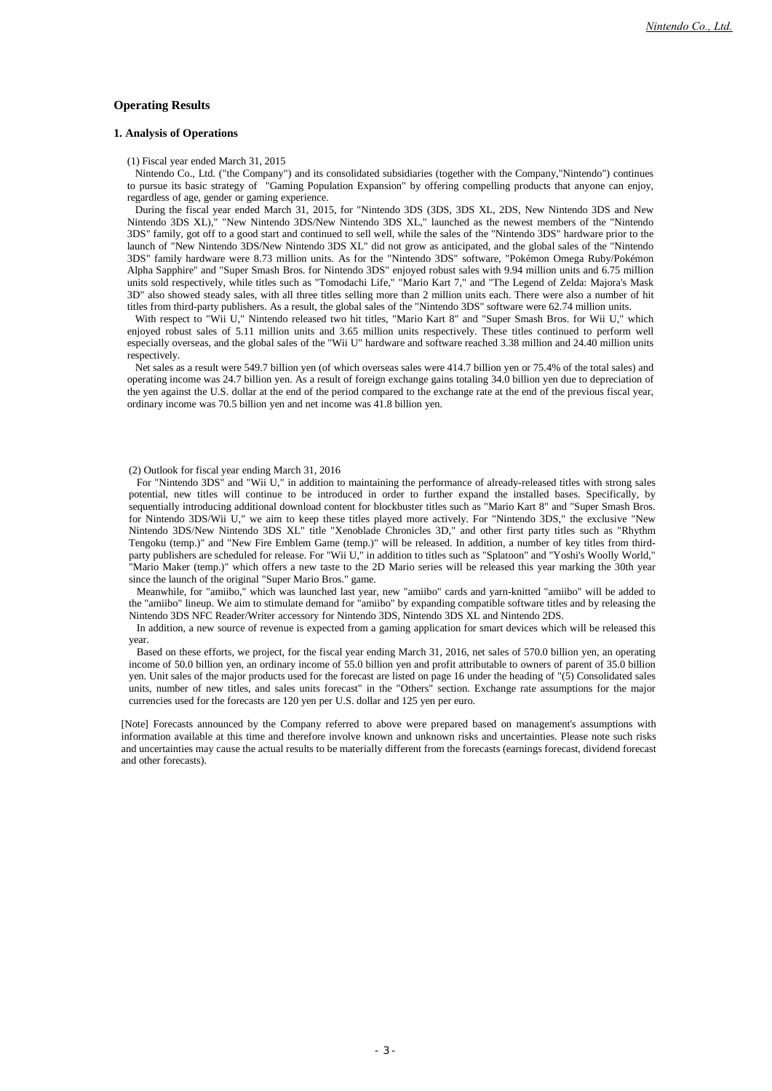### **Operating Results**

### **1. Analysis of Operations**

(1) Fiscal year ended March 31, 2015

Nintendo Co., Ltd. ("the Company") and its consolidated subsidiaries (together with the Company,"Nintendo") continues to pursue its basic strategy of "Gaming Population Expansion" by offering compelling products that anyone can enjoy, regardless of age, gender or gaming experience.

During the fiscal year ended March 31, 2015, for "Nintendo 3DS (3DS, 3DS XL, 2DS, New Nintendo 3DS and New Nintendo 3DS XL)," "New Nintendo 3DS/New Nintendo 3DS XL," launched as the newest members of the "Nintendo 3DS" family, got off to a good start and continued to sell well, while the sales of the "Nintendo 3DS" hardware prior to the launch of "New Nintendo 3DS/New Nintendo 3DS XL" did not grow as anticipated, and the global sales of the "Nintendo 3DS" family hardware were 8.73 million units. As for the "Nintendo 3DS" software, "Pokémon Omega Ruby/Pokémon Alpha Sapphire" and "Super Smash Bros. for Nintendo 3DS" enjoyed robust sales with 9.94 million units and 6.75 million units sold respectively, while titles such as "Tomodachi Life," "Mario Kart 7," and "The Legend of Zelda: Majora's Mask 3D" also showed steady sales, with all three titles selling more than 2 million units each. There were also a number of hit titles from third-party publishers. As a result, the global sales of the "Nintendo 3DS" software were 62.74 million units.

With respect to "Wii U," Nintendo released two hit titles, "Mario Kart 8" and "Super Smash Bros. for Wii U," which enjoyed robust sales of 5.11 million units and 3.65 million units respectively. These titles continued to perform well especially overseas, and the global sales of the "Wii U" hardware and software reached 3.38 million and 24.40 million units respectively.

Net sales as a result were 549.7 billion yen (of which overseas sales were 414.7 billion yen or 75.4% of the total sales) and operating income was 24.7 billion yen. As a result of foreign exchange gains totaling 34.0 billion yen due to depreciation of the yen against the U.S. dollar at the end of the period compared to the exchange rate at the end of the previous fiscal year, ordinary income was 70.5 billion yen and net income was 41.8 billion yen.

#### (2) Outlook for fiscal year ending March 31, 2016

For "Nintendo 3DS" and "Wii U," in addition to maintaining the performance of already-released titles with strong sales potential, new titles will continue to be introduced in order to further expand the installed bases. Specifically, by sequentially introducing additional download content for blockbuster titles such as "Mario Kart 8" and "Super Smash Bros. for Nintendo 3DS/Wii U," we aim to keep these titles played more actively. For "Nintendo 3DS," the exclusive "New Nintendo 3DS/New Nintendo 3DS XL" title "Xenoblade Chronicles 3D," and other first party titles such as "Rhythm Tengoku (temp.)" and "New Fire Emblem Game (temp.)" will be released. In addition, a number of key titles from thirdparty publishers are scheduled for release. For "Wii U," in addition to titles such as "Splatoon" and "Yoshi's Woolly World," "Mario Maker (temp.)" which offers a new taste to the 2D Mario series will be released this year marking the 30th year since the launch of the original "Super Mario Bros." game.

Meanwhile, for "amiibo," which was launched last year, new "amiibo" cards and yarn-knitted "amiibo" will be added to the "amiibo" lineup. We aim to stimulate demand for "amiibo" by expanding compatible software titles and by releasing the Nintendo 3DS NFC Reader/Writer accessory for Nintendo 3DS, Nintendo 3DS XL and Nintendo 2DS.

In addition, a new source of revenue is expected from a gaming application for smart devices which will be released this year.

Based on these efforts, we project, for the fiscal year ending March 31, 2016, net sales of 570.0 billion yen, an operating income of 50.0 billion yen, an ordinary income of 55.0 billion yen and profit attributable to owners of parent of 35.0 billion yen. Unit sales of the major products used for the forecast are listed on page 16 under the heading of "(5) Consolidated sales units, number of new titles, and sales units forecast" in the "Others" section. Exchange rate assumptions for the major currencies used for the forecasts are 120 yen per U.S. dollar and 125 yen per euro.

[Note] Forecasts announced by the Company referred to above were prepared based on management's assumptions with information available at this time and therefore involve known and unknown risks and uncertainties. Please note such risks and uncertainties may cause the actual results to be materially different from the forecasts (earnings forecast, dividend forecast and other forecasts).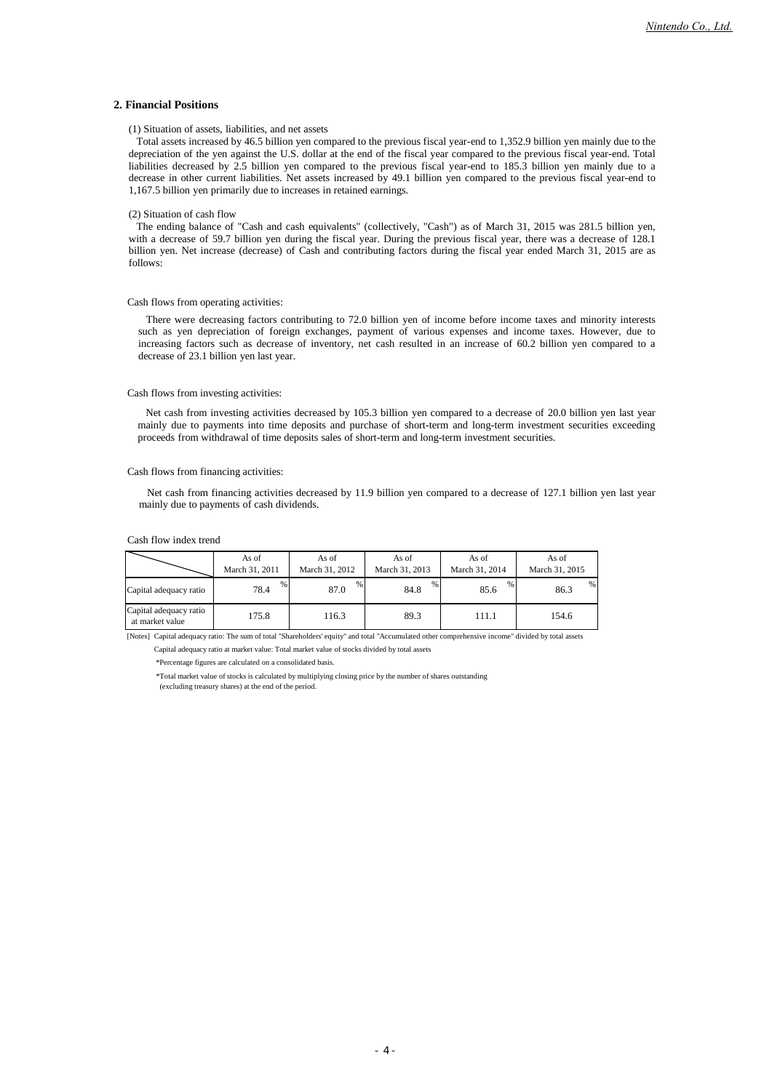### **2. Financial Positions**

#### (1) Situation of assets, liabilities, and net assets

Total assets increased by 46.5 billion yen compared to the previous fiscal year-end to 1,352.9 billion yen mainly due to the depreciation of the yen against the U.S. dollar at the end of the fiscal year compared to the previous fiscal year-end. Total liabilities decreased by 2.5 billion yen compared to the previous fiscal year-end to 185.3 billion yen mainly due to a decrease in other current liabilities. Net assets increased by 49.1 billion yen compared to the previous fiscal year-end to 1,167.5 billion yen primarily due to increases in retained earnings.

#### (2) Situation of cash flow

The ending balance of "Cash and cash equivalents" (collectively, "Cash") as of March 31, 2015 was 281.5 billion yen, with a decrease of 59.7 billion yen during the fiscal year. During the previous fiscal year, there was a decrease of 128.1 billion yen. Net increase (decrease) of Cash and contributing factors during the fiscal year ended March 31, 2015 are as follows:

#### Cash flows from operating activities:

There were decreasing factors contributing to 72.0 billion yen of income before income taxes and minority interests such as yen depreciation of foreign exchanges, payment of various expenses and income taxes. However, due to increasing factors such as decrease of inventory, net cash resulted in an increase of 60.2 billion yen compared to a decrease of 23.1 billion yen last year.

### Cash flows from investing activities:

Net cash from investing activities decreased by 105.3 billion yen compared to a decrease of 20.0 billion yen last year mainly due to payments into time deposits and purchase of short-term and long-term investment securities exceeding proceeds from withdrawal of time deposits sales of short-term and long-term investment securities.

#### Cash flows from financing activities:

Net cash from financing activities decreased by 11.9 billion yen compared to a decrease of 127.1 billion yen last year mainly due to payments of cash dividends.

#### Cash flow index trend

|                                           | As of          | As of          | As of          | As of          | As of          |
|-------------------------------------------|----------------|----------------|----------------|----------------|----------------|
|                                           | March 31, 2011 | March 31, 2012 | March 31, 2013 | March 31, 2014 | March 31, 2015 |
| Capital adequacy ratio                    | %              | %              | %              | %              | %              |
|                                           | 78.4           | 87.0           | 84.8           | 85.6           | 86.3           |
| Capital adequacy ratio<br>at market value | 175.8          | 116.3          | 89.3           | 111.1          | 154.6          |

[Notes] Capital adequacy ratio: The sum of total "Shareholders' equity" and total "Accumulated other comprehensive income" divided by total assets

Capital adequacy ratio at market value: Total market value of stocks divided by total assets

\*Percentage figures are calculated on a consolidated basis.

\*Total market value of stocks is calculated by multiplying closing price by the number of shares outstanding

(excluding treasury shares) at the end of the period.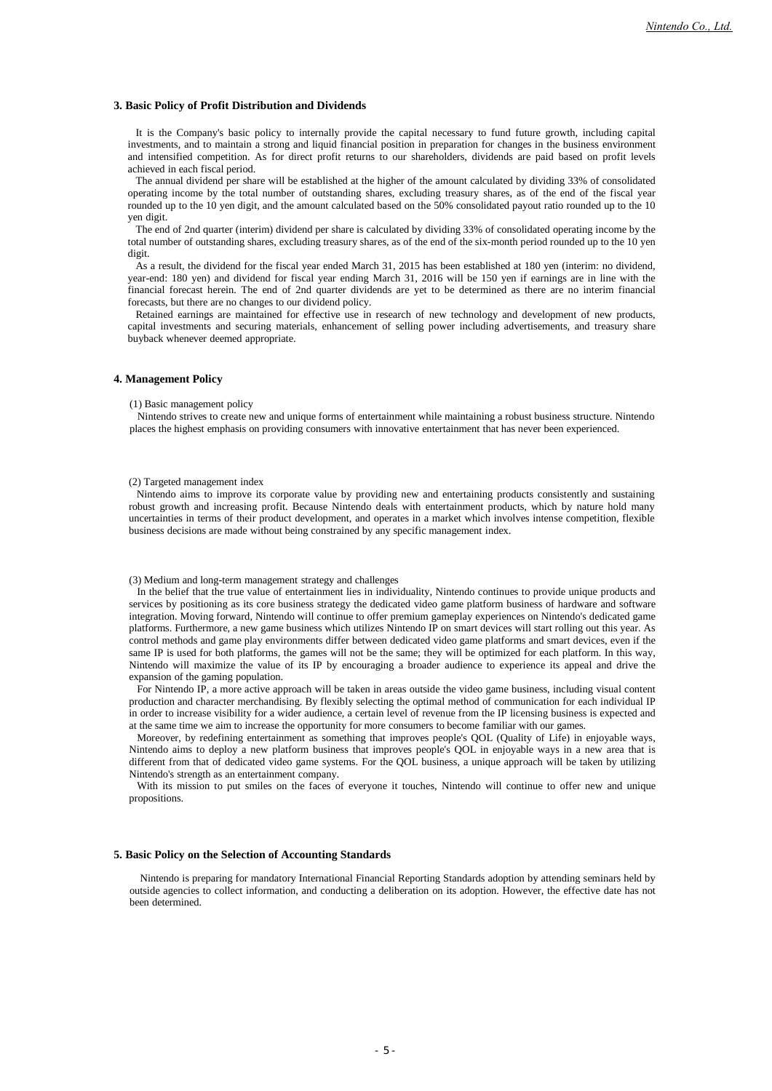#### **3. Basic Policy of Profit Distribution and Dividends**

It is the Company's basic policy to internally provide the capital necessary to fund future growth, including capital investments, and to maintain a strong and liquid financial position in preparation for changes in the business environment and intensified competition. As for direct profit returns to our shareholders, dividends are paid based on profit levels achieved in each fiscal period.

The annual dividend per share will be established at the higher of the amount calculated by dividing 33% of consolidated operating income by the total number of outstanding shares, excluding treasury shares, as of the end of the fiscal year rounded up to the 10 yen digit, and the amount calculated based on the 50% consolidated payout ratio rounded up to the 10 yen digit.

The end of 2nd quarter (interim) dividend per share is calculated by dividing 33% of consolidated operating income by the total number of outstanding shares, excluding treasury shares, as of the end of the six-month period rounded up to the 10 yen digit.

As a result, the dividend for the fiscal year ended March 31, 2015 has been established at 180 yen (interim: no dividend, year-end: 180 yen) and dividend for fiscal year ending March 31, 2016 will be 150 yen if earnings are in line with the financial forecast herein. The end of 2nd quarter dividends are yet to be determined as there are no interim financial forecasts, but there are no changes to our dividend policy.

Retained earnings are maintained for effective use in research of new technology and development of new products, capital investments and securing materials, enhancement of selling power including advertisements, and treasury share buyback whenever deemed appropriate.

#### **4. Management Policy**

#### (1) Basic management policy

Nintendo strives to create new and unique forms of entertainment while maintaining a robust business structure. Nintendo places the highest emphasis on providing consumers with innovative entertainment that has never been experienced.

#### (2) Targeted management index

Nintendo aims to improve its corporate value by providing new and entertaining products consistently and sustaining robust growth and increasing profit. Because Nintendo deals with entertainment products, which by nature hold many uncertainties in terms of their product development, and operates in a market which involves intense competition, flexible business decisions are made without being constrained by any specific management index.

#### (3) Medium and long-term management strategy and challenges

In the belief that the true value of entertainment lies in individuality, Nintendo continues to provide unique products and services by positioning as its core business strategy the dedicated video game platform business of hardware and software integration. Moving forward, Nintendo will continue to offer premium gameplay experiences on Nintendo's dedicated game platforms. Furthermore, a new game business which utilizes Nintendo IP on smart devices will start rolling out this year. As control methods and game play environments differ between dedicated video game platforms and smart devices, even if the same IP is used for both platforms, the games will not be the same; they will be optimized for each platform. In this way, Nintendo will maximize the value of its IP by encouraging a broader audience to experience its appeal and drive the expansion of the gaming population.

For Nintendo IP, a more active approach will be taken in areas outside the video game business, including visual content production and character merchandising. By flexibly selecting the optimal method of communication for each individual IP in order to increase visibility for a wider audience, a certain level of revenue from the IP licensing business is expected and at the same time we aim to increase the opportunity for more consumers to become familiar with our games.

Moreover, by redefining entertainment as something that improves people's QOL (Quality of Life) in enjoyable ways, Nintendo aims to deploy a new platform business that improves people's QOL in enjoyable ways in a new area that is different from that of dedicated video game systems. For the QOL business, a unique approach will be taken by utilizing Nintendo's strength as an entertainment company.

With its mission to put smiles on the faces of everyone it touches, Nintendo will continue to offer new and unique propositions.

#### **5. Basic Policy on the Selection of Accounting Standards**

Nintendo is preparing for mandatory International Financial Reporting Standards adoption by attending seminars held by outside agencies to collect information, and conducting a deliberation on its adoption. However, the effective date has not been determined.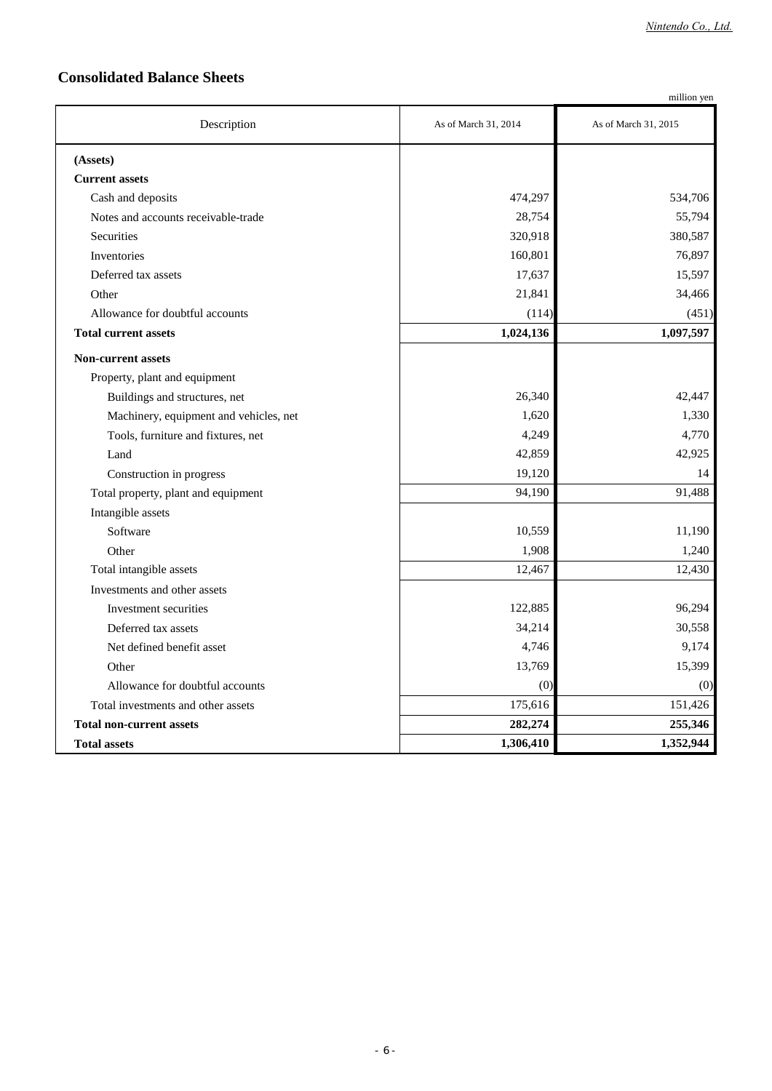## **Consolidated Balance Sheets**

|                                        |                      | million yen          |
|----------------------------------------|----------------------|----------------------|
| Description                            | As of March 31, 2014 | As of March 31, 2015 |
| (Assets)                               |                      |                      |
| <b>Current assets</b>                  |                      |                      |
| Cash and deposits                      | 474,297              | 534,706              |
| Notes and accounts receivable-trade    | 28,754               | 55,794               |
| Securities                             | 320,918              | 380,587              |
| Inventories                            | 160,801              | 76,897               |
| Deferred tax assets                    | 17,637               | 15,597               |
| Other                                  | 21,841               | 34,466               |
| Allowance for doubtful accounts        | (114)                | (451)                |
| <b>Total current assets</b>            | 1,024,136            | 1,097,597            |
| <b>Non-current assets</b>              |                      |                      |
| Property, plant and equipment          |                      |                      |
| Buildings and structures, net          | 26,340               | 42,447               |
| Machinery, equipment and vehicles, net | 1,620                | 1,330                |
| Tools, furniture and fixtures, net     | 4,249                | 4,770                |
| Land                                   | 42,859               | 42,925               |
| Construction in progress               | 19,120               | 14                   |
| Total property, plant and equipment    | 94,190               | 91,488               |
| Intangible assets                      |                      |                      |
| Software                               | 10,559               | 11,190               |
| Other                                  | 1,908                | 1,240                |
| Total intangible assets                | 12,467               | 12,430               |
| Investments and other assets           |                      |                      |
| Investment securities                  | 122,885              | 96,294               |
| Deferred tax assets                    | 34,214               | 30,558               |
| Net defined benefit asset              | 4,746                | 9,174                |
| Other                                  | 13,769               | 15,399               |
| Allowance for doubtful accounts        | (0)                  | (0)                  |
| Total investments and other assets     | 175,616              | 151,426              |
| <b>Total non-current assets</b>        | 282,274              | 255,346              |
| <b>Total assets</b>                    | 1,306,410            | 1,352,944            |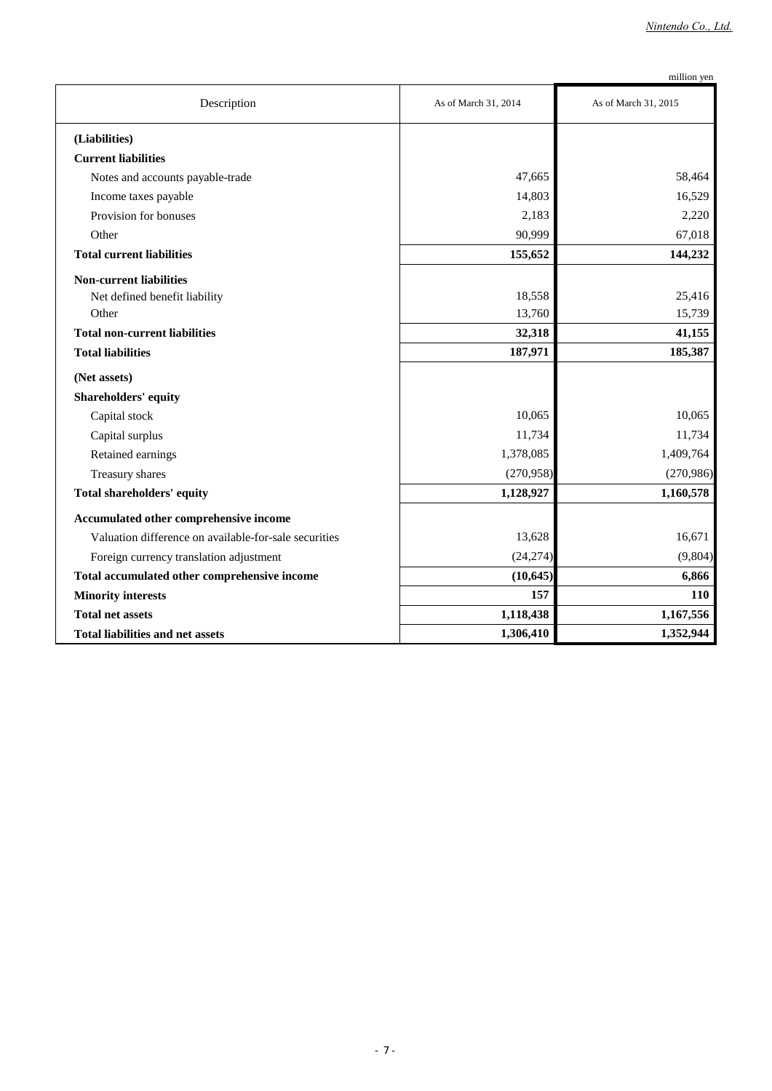|                                                       |                      | million yen          |
|-------------------------------------------------------|----------------------|----------------------|
| Description                                           | As of March 31, 2014 | As of March 31, 2015 |
| (Liabilities)                                         |                      |                      |
| <b>Current liabilities</b>                            |                      |                      |
| Notes and accounts payable-trade                      | 47,665               | 58,464               |
| Income taxes payable                                  | 14,803               | 16,529               |
| Provision for bonuses                                 | 2,183                | 2,220                |
| Other                                                 | 90,999               | 67,018               |
| <b>Total current liabilities</b>                      | 155,652              | 144,232              |
| <b>Non-current liabilities</b>                        |                      |                      |
| Net defined benefit liability                         | 18,558               | 25,416               |
| Other                                                 | 13,760               | 15,739               |
| <b>Total non-current liabilities</b>                  | 32,318               | 41,155               |
| <b>Total liabilities</b>                              | 187,971              | 185,387              |
| (Net assets)                                          |                      |                      |
| <b>Shareholders' equity</b>                           |                      |                      |
| Capital stock                                         | 10,065               | 10,065               |
| Capital surplus                                       | 11,734               | 11,734               |
| Retained earnings                                     | 1,378,085            | 1,409,764            |
| Treasury shares                                       | (270,958)            | (270,986)            |
| <b>Total shareholders' equity</b>                     | 1,128,927            | 1,160,578            |
| Accumulated other comprehensive income                |                      |                      |
| Valuation difference on available-for-sale securities | 13,628               | 16,671               |
| Foreign currency translation adjustment               | (24, 274)            | (9,804)              |
| Total accumulated other comprehensive income          | (10, 645)            | 6,866                |
| <b>Minority interests</b>                             | 157                  | 110                  |
| <b>Total net assets</b>                               | 1,118,438            | 1,167,556            |
| Total liabilities and net assets                      | 1,306,410            | 1,352,944            |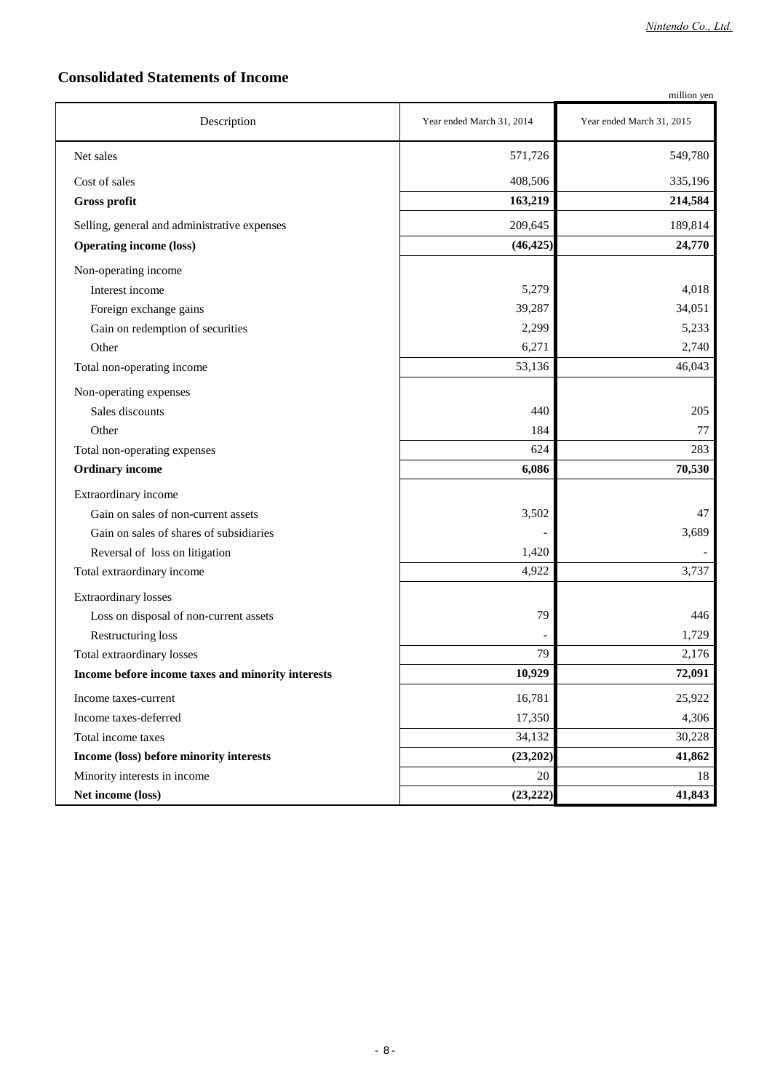## **Consolidated Statements of Income**

|                                                   |                           | million yen               |
|---------------------------------------------------|---------------------------|---------------------------|
| Description                                       | Year ended March 31, 2014 | Year ended March 31, 2015 |
| Net sales                                         | 571,726                   | 549,780                   |
| Cost of sales                                     | 408,506                   | 335,196                   |
| <b>Gross profit</b>                               | 163,219                   | 214,584                   |
| Selling, general and administrative expenses      | 209,645                   | 189,814                   |
| <b>Operating income (loss)</b>                    | (46, 425)                 | 24,770                    |
| Non-operating income                              |                           |                           |
| Interest income                                   | 5,279                     | 4,018                     |
| Foreign exchange gains                            | 39,287                    | 34,051                    |
| Gain on redemption of securities                  | 2,299                     | 5,233                     |
| Other                                             | 6,271                     | 2,740                     |
| Total non-operating income                        | 53,136                    | 46,043                    |
| Non-operating expenses                            |                           |                           |
| Sales discounts                                   | 440                       | 205                       |
| Other                                             | 184                       | 77                        |
| Total non-operating expenses                      | 624                       | 283                       |
| <b>Ordinary income</b>                            | 6,086                     | 70,530                    |
| Extraordinary income                              |                           |                           |
| Gain on sales of non-current assets               | 3,502                     | 47                        |
| Gain on sales of shares of subsidiaries           |                           | 3,689                     |
| Reversal of loss on litigation                    | 1,420                     |                           |
| Total extraordinary income                        | 4,922                     | 3,737                     |
| <b>Extraordinary losses</b>                       |                           |                           |
| Loss on disposal of non-current assets            | 79                        | 446                       |
| Restructuring loss                                |                           | 1,729                     |
| Total extraordinary losses                        | 79                        | 2,176                     |
| Income before income taxes and minority interests | 10,929                    | 72,091                    |
| Income taxes-current                              | 16,781                    | 25,922                    |
| Income taxes-deferred                             | 17,350                    | 4,306                     |
| Total income taxes                                | 34,132                    | 30,228                    |
| Income (loss) before minority interests           | (23,202)                  | 41,862                    |
| Minority interests in income                      | $20\,$                    | 18                        |
| Net income (loss)                                 | (23, 222)                 | 41,843                    |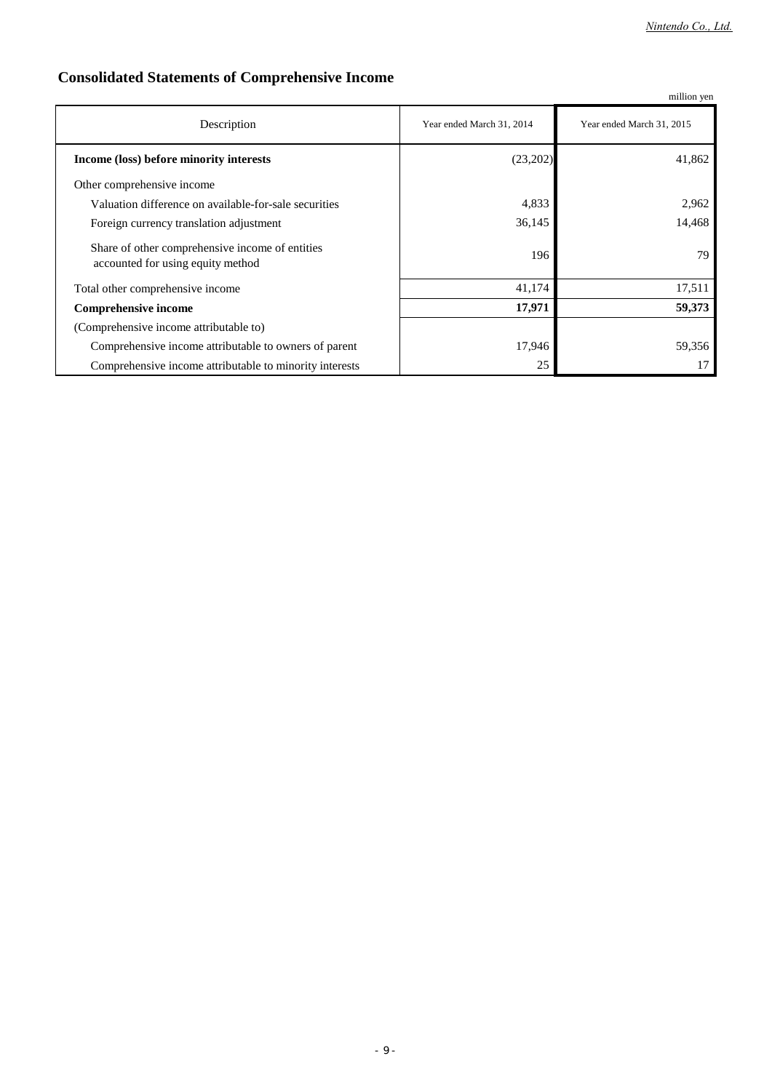## **Consolidated Statements of Comprehensive Income**

|                                                                                      |                           | million yen               |
|--------------------------------------------------------------------------------------|---------------------------|---------------------------|
| Description                                                                          | Year ended March 31, 2014 | Year ended March 31, 2015 |
| Income (loss) before minority interests                                              | (23,202)                  | 41,862                    |
| Other comprehensive income                                                           |                           |                           |
| Valuation difference on available-for-sale securities                                | 4,833                     | 2,962                     |
| Foreign currency translation adjustment                                              | 36,145                    | 14,468                    |
| Share of other comprehensive income of entities<br>accounted for using equity method | 196                       | 79                        |
| Total other comprehensive income                                                     | 41,174                    | 17,511                    |
| <b>Comprehensive income</b>                                                          | 17,971                    | 59,373                    |
| (Comprehensive income attributable to)                                               |                           |                           |
| Comprehensive income attributable to owners of parent                                | 17,946                    | 59,356                    |
| Comprehensive income attributable to minority interests                              | 25                        | 17                        |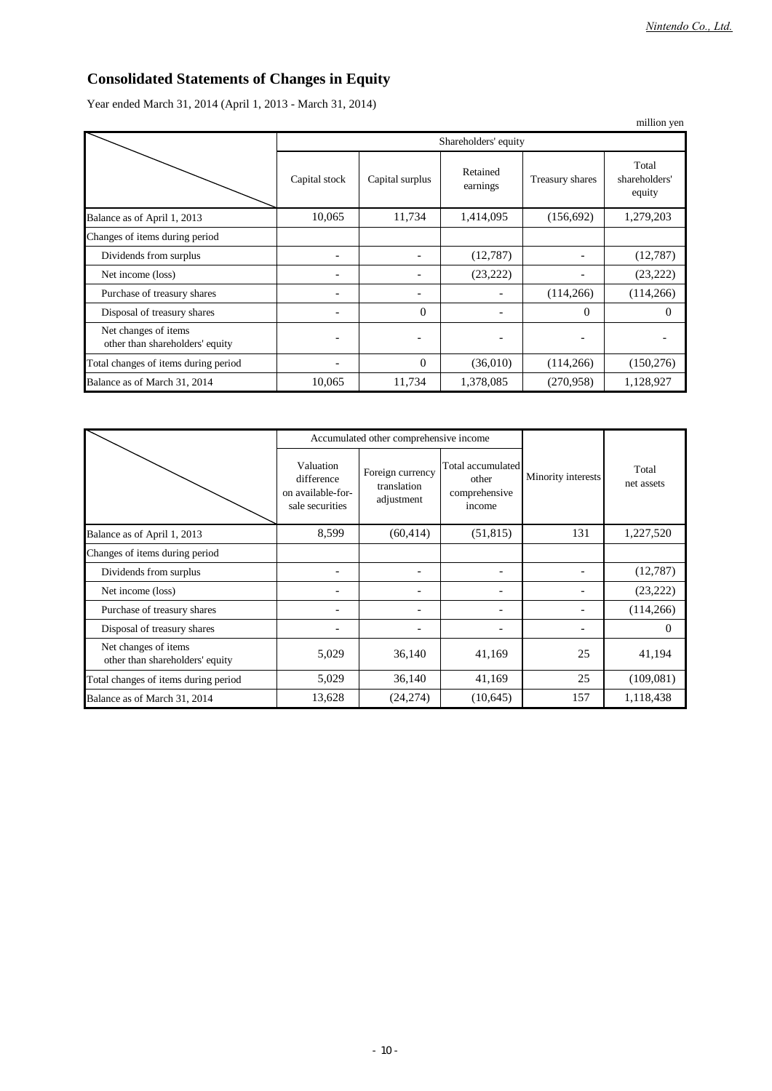## **Consolidated Statements of Changes in Equity**

Year ended March 31, 2014 (April 1, 2013 - March 31, 2014)

|                                                         |               |                      |                      |                 | million yen                      |  |
|---------------------------------------------------------|---------------|----------------------|----------------------|-----------------|----------------------------------|--|
|                                                         |               | Shareholders' equity |                      |                 |                                  |  |
|                                                         | Capital stock | Capital surplus      | Retained<br>earnings | Treasury shares | Total<br>shareholders'<br>equity |  |
| Balance as of April 1, 2013                             | 10,065        | 11,734               | 1,414,095            | (156, 692)      | 1,279,203                        |  |
| Changes of items during period                          |               |                      |                      |                 |                                  |  |
| Dividends from surplus                                  |               |                      | (12,787)             |                 | (12,787)                         |  |
| Net income (loss)                                       | -             |                      | (23, 222)            |                 | (23, 222)                        |  |
| Purchase of treasury shares                             |               |                      |                      | (114, 266)      | (114, 266)                       |  |
| Disposal of treasury shares                             |               | $\theta$             |                      | $\Omega$        | $\Omega$                         |  |
| Net changes of items<br>other than shareholders' equity |               |                      |                      |                 |                                  |  |
| Total changes of items during period                    | ۰             | $\theta$             | (36,010)             | (114,266)       | (150, 276)                       |  |
| Balance as of March 31, 2014                            | 10,065        | 11,734               | 1,378,085            | (270, 958)      | 1,128,927                        |  |

|                                                         |                                                                 | Accumulated other comprehensive income        |                                                       |                    |                     |
|---------------------------------------------------------|-----------------------------------------------------------------|-----------------------------------------------|-------------------------------------------------------|--------------------|---------------------|
|                                                         | Valuation<br>difference<br>on available-for-<br>sale securities | Foreign currency<br>translation<br>adjustment | Total accumulated<br>other<br>comprehensive<br>income | Minority interests | Total<br>net assets |
| Balance as of April 1, 2013                             | 8,599                                                           | (60, 414)                                     | (51, 815)                                             | 131                | 1,227,520           |
| Changes of items during period                          |                                                                 |                                               |                                                       |                    |                     |
| Dividends from surplus                                  | -                                                               | ۰                                             |                                                       |                    | (12,787)            |
| Net income (loss)                                       |                                                                 |                                               |                                                       |                    | (23, 222)           |
| Purchase of treasury shares                             | -                                                               | $\overline{\phantom{0}}$                      |                                                       |                    | (114, 266)          |
| Disposal of treasury shares                             | -                                                               | ۰                                             |                                                       |                    | $\Omega$            |
| Net changes of items<br>other than shareholders' equity | 5,029                                                           | 36,140                                        | 41,169                                                | 25                 | 41,194              |
| Total changes of items during period                    | 5,029                                                           | 36,140                                        | 41,169                                                | 25                 | (109,081)           |
| Balance as of March 31, 2014                            | 13,628                                                          | (24,274)                                      | (10,645)                                              | 157                | 1,118,438           |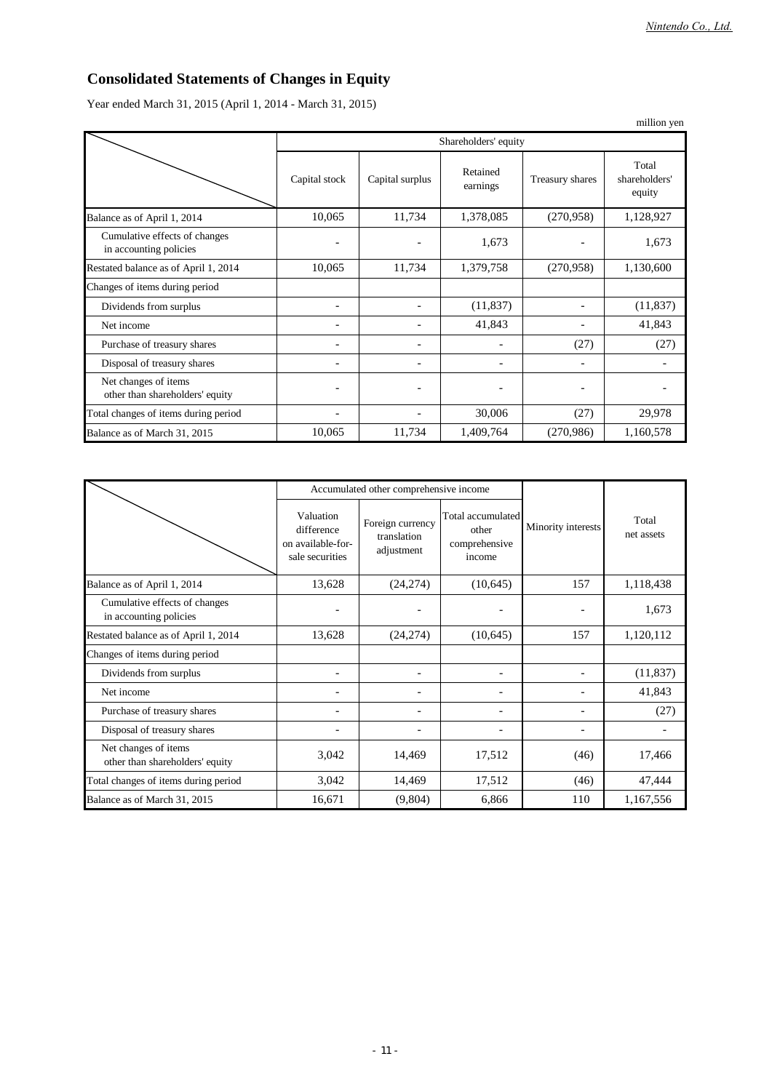## **Consolidated Statements of Changes in Equity**

Year ended March 31, 2015 (April 1, 2014 - March 31, 2015)

|                                                         |                              |                      |                      |                 | million yen                      |  |
|---------------------------------------------------------|------------------------------|----------------------|----------------------|-----------------|----------------------------------|--|
|                                                         |                              | Shareholders' equity |                      |                 |                                  |  |
|                                                         | Capital stock                | Capital surplus      | Retained<br>earnings | Treasury shares | Total<br>shareholders'<br>equity |  |
| Balance as of April 1, 2014                             | 10,065                       | 11,734               | 1,378,085            | (270,958)       | 1,128,927                        |  |
| Cumulative effects of changes<br>in accounting policies | $\qquad \qquad \blacksquare$ |                      | 1,673                |                 | 1,673                            |  |
| Restated balance as of April 1, 2014                    | 10,065                       | 11,734               | 1,379,758            | (270,958)       | 1,130,600                        |  |
| Changes of items during period                          |                              |                      |                      |                 |                                  |  |
| Dividends from surplus                                  | $\overline{\phantom{0}}$     |                      | (11, 837)            |                 | (11, 837)                        |  |
| Net income                                              |                              |                      | 41,843               |                 | 41,843                           |  |
| Purchase of treasury shares                             | ۰                            |                      |                      | (27)            | (27)                             |  |
| Disposal of treasury shares                             | ۰                            |                      |                      |                 |                                  |  |
| Net changes of items<br>other than shareholders' equity | $\overline{\phantom{a}}$     |                      |                      |                 |                                  |  |
| Total changes of items during period                    |                              |                      | 30,006               | (27)            | 29,978                           |  |
| Balance as of March 31, 2015                            | 10,065                       | 11,734               | 1,409,764            | (270,986)       | 1,160,578                        |  |

|                                                         |                                                                 | Accumulated other comprehensive income        |                                                       |                    |                     |
|---------------------------------------------------------|-----------------------------------------------------------------|-----------------------------------------------|-------------------------------------------------------|--------------------|---------------------|
|                                                         | Valuation<br>difference<br>on available-for-<br>sale securities | Foreign currency<br>translation<br>adjustment | Total accumulated<br>other<br>comprehensive<br>income | Minority interests | Total<br>net assets |
| Balance as of April 1, 2014                             | 13,628                                                          | (24, 274)                                     | (10,645)                                              | 157                | 1,118,438           |
| Cumulative effects of changes<br>in accounting policies |                                                                 |                                               |                                                       |                    | 1,673               |
| Restated balance as of April 1, 2014                    | 13,628                                                          | (24, 274)                                     | (10,645)                                              | 157                | 1,120,112           |
| Changes of items during period                          |                                                                 |                                               |                                                       |                    |                     |
| Dividends from surplus                                  |                                                                 |                                               |                                                       |                    | (11, 837)           |
| Net income                                              | $\overline{a}$                                                  |                                               |                                                       |                    | 41,843              |
| Purchase of treasury shares                             | $\overline{a}$                                                  |                                               |                                                       |                    | (27)                |
| Disposal of treasury shares                             |                                                                 |                                               |                                                       |                    |                     |
| Net changes of items<br>other than shareholders' equity | 3,042                                                           | 14,469                                        | 17,512                                                | (46)               | 17,466              |
| Total changes of items during period                    | 3,042                                                           | 14,469                                        | 17,512                                                | (46)               | 47,444              |
| Balance as of March 31, 2015                            | 16,671                                                          | (9,804)                                       | 6,866                                                 | 110                | 1,167,556           |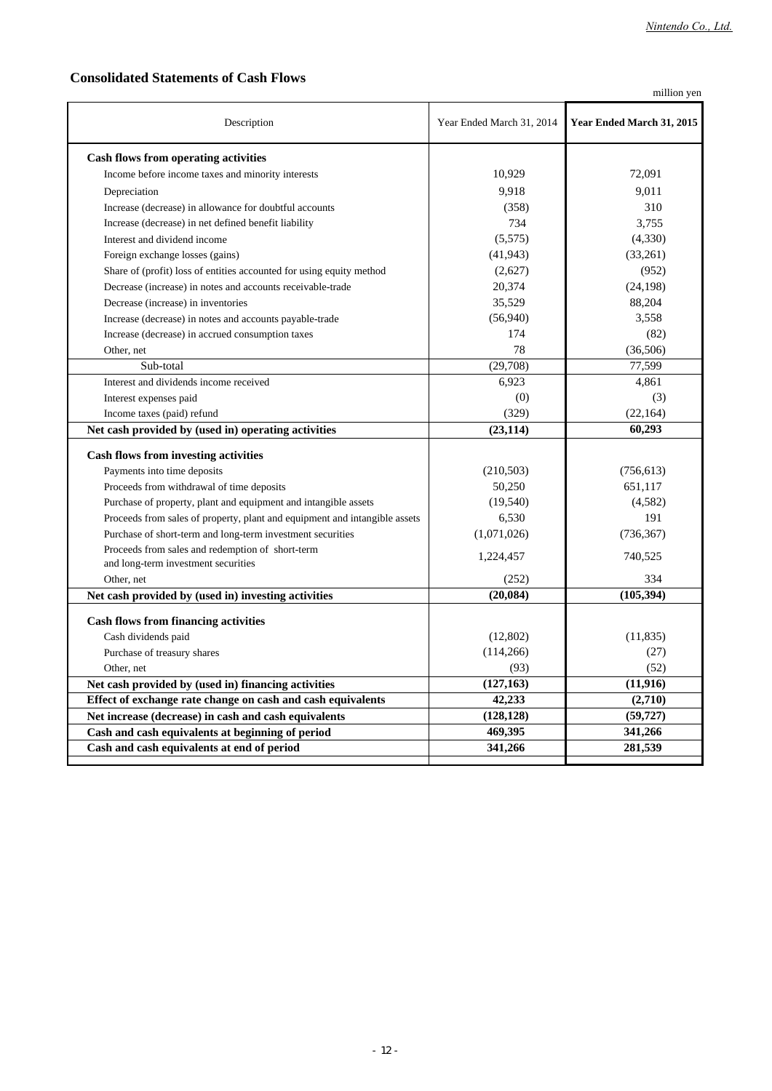## **Consolidated Statements of Cash Flows**

million yen

| Description                                                                             | Year Ended March 31, 2014 | Year Ended March 31, 2015 |  |
|-----------------------------------------------------------------------------------------|---------------------------|---------------------------|--|
| Cash flows from operating activities                                                    |                           |                           |  |
| Income before income taxes and minority interests                                       | 10,929                    | 72,091                    |  |
| Depreciation                                                                            | 9.918                     | 9.011                     |  |
| Increase (decrease) in allowance for doubtful accounts                                  | (358)                     | 310                       |  |
| Increase (decrease) in net defined benefit liability                                    | 734                       | 3.755                     |  |
| Interest and dividend income                                                            | (5,575)                   | (4,330)                   |  |
| Foreign exchange losses (gains)                                                         | (41, 943)                 | (33,261)                  |  |
| Share of (profit) loss of entities accounted for using equity method                    | (2,627)                   | (952)                     |  |
| Decrease (increase) in notes and accounts receivable-trade                              | 20,374                    | (24, 198)                 |  |
| Decrease (increase) in inventories                                                      | 35,529                    | 88,204                    |  |
| Increase (decrease) in notes and accounts payable-trade                                 | (56,940)                  | 3,558                     |  |
| Increase (decrease) in accrued consumption taxes                                        | 174                       | (82)                      |  |
| Other, net                                                                              | 78                        | (36,506)                  |  |
| Sub-total                                                                               | (29,708)                  | 77,599                    |  |
| Interest and dividends income received                                                  | 6,923                     | 4,861                     |  |
| Interest expenses paid                                                                  | (0)                       | (3)                       |  |
| Income taxes (paid) refund                                                              | (329)                     | (22, 164)                 |  |
| Net cash provided by (used in) operating activities                                     | (23, 114)                 | 60,293                    |  |
| <b>Cash flows from investing activities</b>                                             |                           |                           |  |
| Payments into time deposits                                                             | (210,503)                 | (756, 613)                |  |
| Proceeds from withdrawal of time deposits                                               | 50,250                    | 651,117                   |  |
| Purchase of property, plant and equipment and intangible assets                         | (19, 540)                 | (4,582)                   |  |
| Proceeds from sales of property, plant and equipment and intangible assets              | 6,530                     | 191                       |  |
| Purchase of short-term and long-term investment securities                              | (1,071,026)               | (736, 367)                |  |
| Proceeds from sales and redemption of short-term<br>and long-term investment securities | 1,224,457                 | 740,525                   |  |
| Other, net                                                                              | (252)                     | 334                       |  |
| Net cash provided by (used in) investing activities                                     | (20, 084)                 | (105, 394)                |  |
| <b>Cash flows from financing activities</b>                                             |                           |                           |  |
| Cash dividends paid                                                                     | (12,802)                  | (11, 835)                 |  |
| Purchase of treasury shares                                                             | (114,266)                 | (27)                      |  |
| Other, net                                                                              | (93)                      | (52)                      |  |
| Net cash provided by (used in) financing activities                                     | (127, 163)                | (11, 916)                 |  |
| Effect of exchange rate change on cash and cash equivalents                             | 42,233                    | (2,710)                   |  |
| Net increase (decrease) in cash and cash equivalents                                    | (128, 128)                | (59, 727)                 |  |
| Cash and cash equivalents at beginning of period                                        | 469,395                   | 341,266                   |  |
| Cash and cash equivalents at end of period                                              | 341,266                   | 281,539                   |  |
|                                                                                         |                           |                           |  |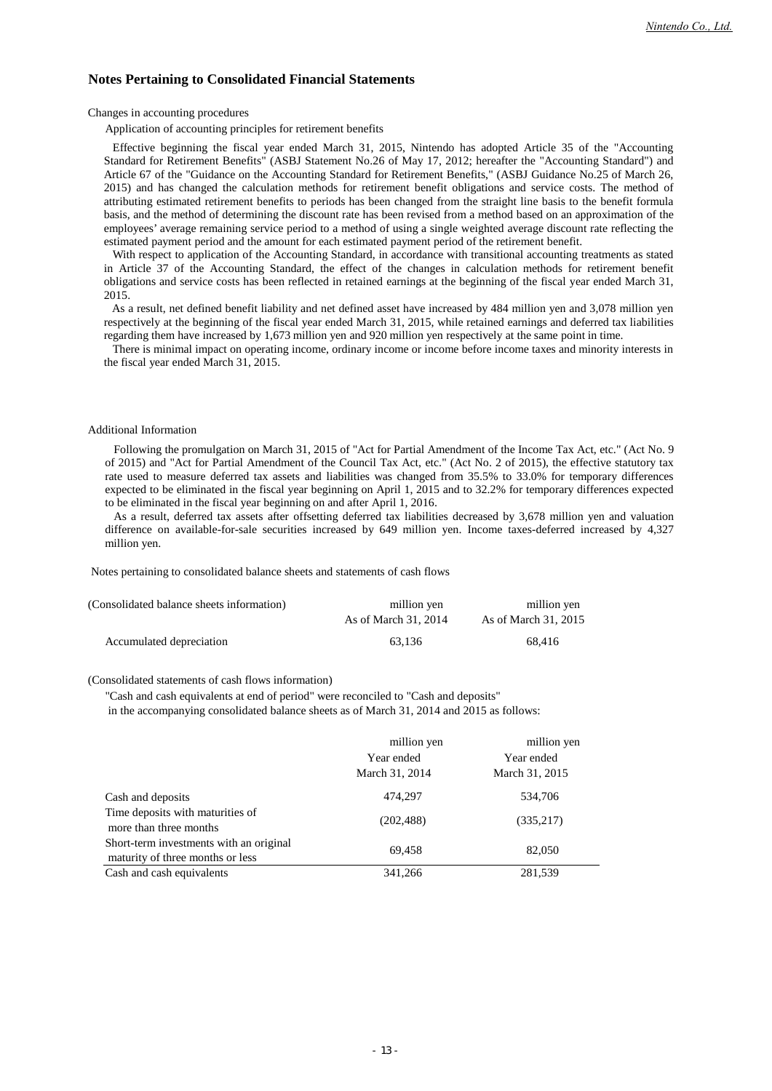### **Notes Pertaining to Consolidated Financial Statements**

Changes in accounting procedures

Application of accounting principles for retirement benefits

Effective beginning the fiscal year ended March 31, 2015, Nintendo has adopted Article 35 of the "Accounting Standard for Retirement Benefits" (ASBJ Statement No.26 of May 17, 2012; hereafter the "Accounting Standard") and Article 67 of the "Guidance on the Accounting Standard for Retirement Benefits," (ASBJ Guidance No.25 of March 26, 2015) and has changed the calculation methods for retirement benefit obligations and service costs. The method of attributing estimated retirement benefits to periods has been changed from the straight line basis to the benefit formula basis, and the method of determining the discount rate has been revised from a method based on an approximation of the employees' average remaining service period to a method of using a single weighted average discount rate reflecting the estimated payment period and the amount for each estimated payment period of the retirement benefit.

With respect to application of the Accounting Standard, in accordance with transitional accounting treatments as stated in Article 37 of the Accounting Standard, the effect of the changes in calculation methods for retirement benefit obligations and service costs has been reflected in retained earnings at the beginning of the fiscal year ended March 31, 2015.

As a result, net defined benefit liability and net defined asset have increased by 484 million yen and 3,078 million yen respectively at the beginning of the fiscal year ended March 31, 2015, while retained earnings and deferred tax liabilities regarding them have increased by 1,673 million yen and 920 million yen respectively at the same point in time.

There is minimal impact on operating income, ordinary income or income before income taxes and minority interests in the fiscal year ended March 31, 2015.

### Additional Information

Following the promulgation on March 31, 2015 of "Act for Partial Amendment of the Income Tax Act, etc." (Act No. 9 of 2015) and "Act for Partial Amendment of the Council Tax Act, etc." (Act No. 2 of 2015), the effective statutory tax rate used to measure deferred tax assets and liabilities was changed from 35.5% to 33.0% for temporary differences expected to be eliminated in the fiscal year beginning on April 1, 2015 and to 32.2% for temporary differences expected to be eliminated in the fiscal year beginning on and after April 1, 2016.

As a result, deferred tax assets after offsetting deferred tax liabilities decreased by 3,678 million yen and valuation difference on available-for-sale securities increased by 649 million yen. Income taxes-deferred increased by 4,327 million yen.

Notes pertaining to consolidated balance sheets and statements of cash flows

| (Consolidated balance sheets information) | million yen          | million yen          |
|-------------------------------------------|----------------------|----------------------|
|                                           | As of March 31, 2014 | As of March 31, 2015 |
| Accumulated depreciation                  | 63.136               | 68.416               |

#### (Consolidated statements of cash flows information)

"Cash and cash equivalents at end of period" were reconciled to "Cash and deposits"

in the accompanying consolidated balance sheets as of March 31, 2014 and 2015 as follows:

|                                                                             | million yen<br>Year ended<br>March 31, 2014 | million yen<br>Year ended<br>March 31, 2015 |
|-----------------------------------------------------------------------------|---------------------------------------------|---------------------------------------------|
| Cash and deposits                                                           | 474,297                                     | 534,706                                     |
| Time deposits with maturities of<br>more than three months                  | (202, 488)                                  | (335,217)                                   |
| Short-term investments with an original<br>maturity of three months or less | 69,458                                      | 82,050                                      |
| Cash and cash equivalents                                                   | 341,266                                     | 281,539                                     |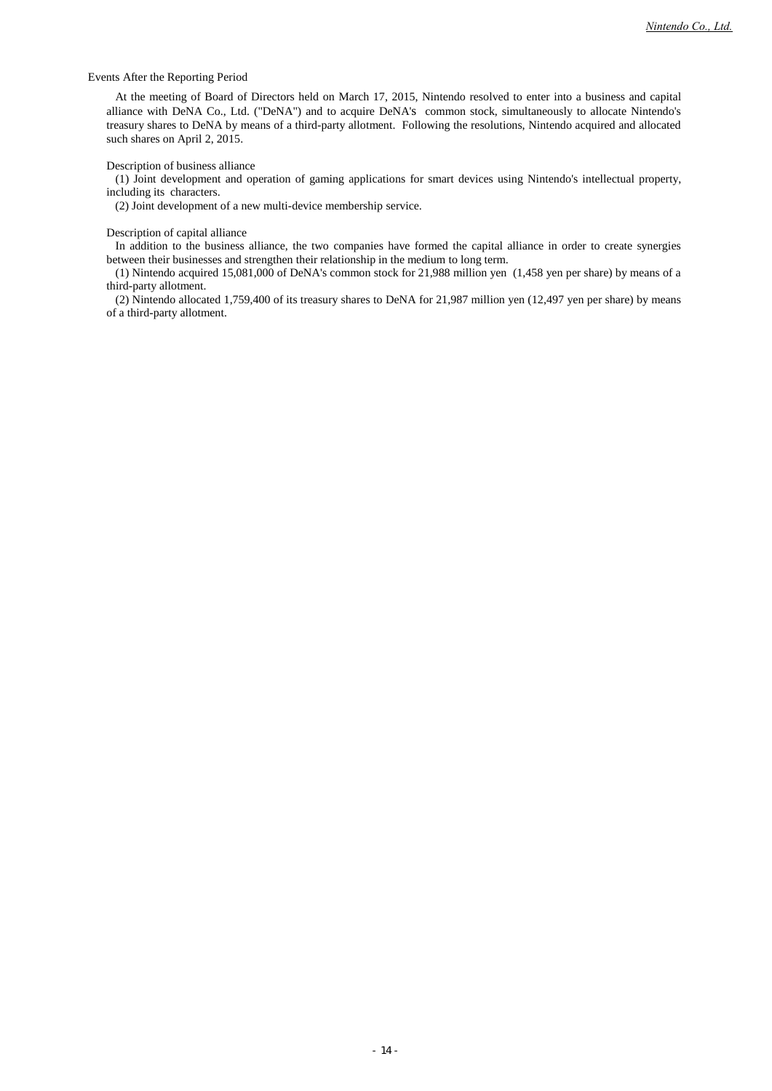### Events After the Reporting Period

At the meeting of Board of Directors held on March 17, 2015, Nintendo resolved to enter into a business and capital alliance with DeNA Co., Ltd. ("DeNA") and to acquire DeNA's common stock, simultaneously to allocate Nintendo's treasury shares to DeNA by means of a third-party allotment. Following the resolutions, Nintendo acquired and allocated such shares on April 2, 2015.

### Description of business alliance

(1) Joint development and operation of gaming applications for smart devices using Nintendo's intellectual property, including its characters.

(2) Joint development of a new multi-device membership service.

### Description of capital alliance

In addition to the business alliance, the two companies have formed the capital alliance in order to create synergies between their businesses and strengthen their relationship in the medium to long term.

(1) Nintendo acquired 15,081,000 of DeNA's common stock for 21,988 million yen (1,458 yen per share) by means of a third-party allotment.

(2) Nintendo allocated 1,759,400 of its treasury shares to DeNA for 21,987 million yen (12,497 yen per share) by means of a third-party allotment.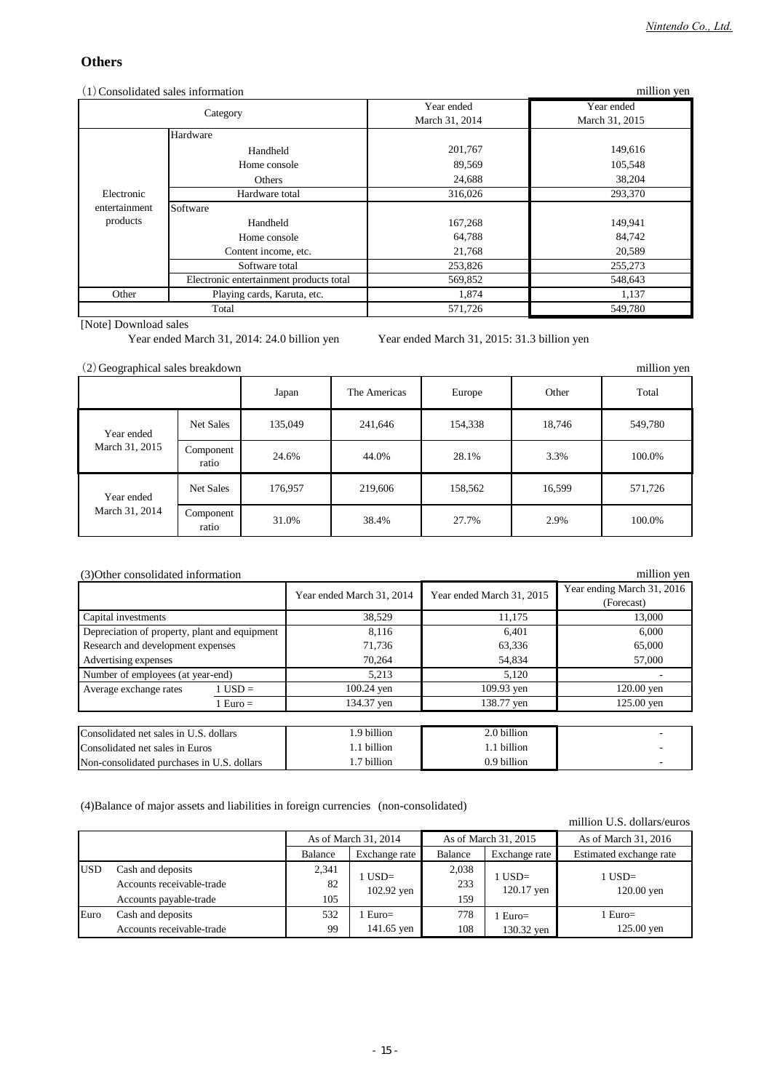## **Others**

| $(1)$ Consolidated sales information<br>million yen |                                         |                              |                              |  |
|-----------------------------------------------------|-----------------------------------------|------------------------------|------------------------------|--|
|                                                     | Category                                | Year ended<br>March 31, 2014 | Year ended<br>March 31, 2015 |  |
|                                                     | Hardware                                |                              |                              |  |
|                                                     | Handheld                                | 201,767                      | 149,616                      |  |
|                                                     | Home console                            | 89,569                       | 105,548                      |  |
|                                                     | Others                                  | 24,688                       | 38,204                       |  |
| Electronic                                          | Hardware total                          | 316,026                      | 293,370                      |  |
| entertainment                                       | Software                                |                              |                              |  |
| products                                            | Handheld                                | 167,268                      | 149,941                      |  |
|                                                     | Home console                            | 64,788                       | 84,742                       |  |
|                                                     | Content income, etc.                    | 21,768                       | 20,589                       |  |
|                                                     | Software total                          | 253,826                      | 255,273                      |  |
|                                                     | Electronic entertainment products total | 569,852                      | 548,643                      |  |
| Other                                               | Playing cards, Karuta, etc.             | 1,874                        | 1,137                        |  |
|                                                     | Total                                   | 571,726                      | 549,780                      |  |

[Note] Download sales

Year ended March 31, 2014: 24.0 billion yen Year ended March 31, 2015: 31.3 billion yen

| (2) Geographical sales breakdown |                    |         |              |         |        | million yen |
|----------------------------------|--------------------|---------|--------------|---------|--------|-------------|
|                                  |                    | Japan   | The Americas | Europe  | Other  | Total       |
| Year ended                       | Net Sales          | 135,049 | 241,646      | 154,338 | 18,746 | 549,780     |
| March 31, 2015                   | Component<br>ratio | 24.6%   | 44.0%        | 28.1%   | 3.3%   | 100.0%      |
| Year ended                       | Net Sales          | 176,957 | 219,606      | 158,562 | 16,599 | 571,726     |
| March 31, 2014                   | Component<br>ratio | 31.0%   | 38.4%        | 27.7%   | 2.9%   | 100.0%      |

### (3)Other consolidated information

| (3) Other consolidated information            | million yen |                           |                           |                                          |
|-----------------------------------------------|-------------|---------------------------|---------------------------|------------------------------------------|
|                                               |             | Year ended March 31, 2014 | Year ended March 31, 2015 | Year ending March 31, 2016<br>(Forecast) |
| Capital investments                           |             | 38,529                    | 11,175                    | 13,000                                   |
| Depreciation of property, plant and equipment |             | 8,116                     | 6,401                     | 6.000                                    |
| Research and development expenses             |             | 71.736                    | 63,336                    | 65,000                                   |
| Advertising expenses                          |             | 70,264                    | 54,834                    | 57,000                                   |
| Number of employees (at year-end)             |             | 5.213                     | 5.120                     |                                          |
| Average exchange rates                        | $1$ USD =   | $100.24$ yen              | 109.93 yen                | $120.00$ yen                             |
|                                               | $1 Euro =$  | 134.37 yen                | 138.77 yen                | 125.00 yen                               |
|                                               |             |                           |                           |                                          |
| Consolidated net sales in U.S. dollars        |             | 1.9 billion               | 2.0 billion               |                                          |
| Consolidated net sales in Euros               |             | 1.1 billion               | 1.1 billion               |                                          |
| Non-consolidated purchases in U.S. dollars    |             | 1.7 billion               | 0.9 billion               |                                          |

(4)Balance of major assets and liabilities in foreign currencies (non-consolidated)

USD Accounts receivable-trade Accounts payable-trade Euro Accounts receivable-trade 1 USD= 120.00 yen 1 Euro= 125.00 yen 1 USD= 102.92 yen 1 Euro= 141.65 yen 1 Euro= 130.32 yen 1 USD= 120.17 yen 778 108 159 99 105 532 2,341 82 As of March 31, 2014 As of March 31, 2015 Balance Exchange rate 2,038 233 As of March 31, 2016 million U.S. dollars/euros Cash and deposits Balance Exchange rate Estimated exchange rate Cash and deposits